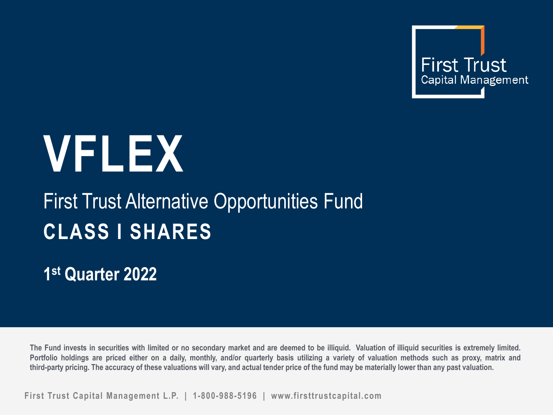

# **VFLEX**

## First Trust Alternative Opportunities Fund **CLASS I SHARES**

**1st Quarter 2022**

The Fund invests in securities with limited or no secondary market and are deemed to be illiquid. Valuation of illiquid securities is extremely limited. Portfolio holdings are priced either on a daily, monthly, and/or quarterly basis utilizing a variety of valuation methods such as proxy, matrix and third-party pricing. The accuracy of these valuations will vary, and actual tender price of the fund may be materially lower than any past valuation.

**First Trust Capital Management L.P. | 1-800-988-5196 | www.firsttrustcapital.com**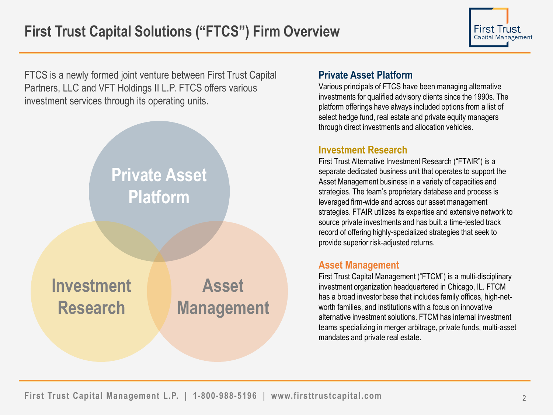FTCS is a newly formed joint venture between First Trust Capital Partners, LLC and VFT Holdings II L.P. FTCS offers various investment services through its operating units.



#### **Private Asset Platform**

Various principals of FTCS have been managing alternative investments for qualified advisory clients since the 1990s. The platform offerings have always included options from a list of select hedge fund, real estate and private equity managers through direct investments and allocation vehicles.

#### **Investment Research**

First Trust Alternative Investment Research ("FTAIR") is a separate dedicated business unit that operates to support the Asset Management business in a variety of capacities and strategies. The team's proprietary database and process is leveraged firm-wide and across our asset management strategies. FTAIR utilizes its expertise and extensive network to source private investments and has built a time-tested track record of offering highly-specialized strategies that seek to provide superior risk-adjusted returns.

#### **Asset Management**

First Trust Capital Management ("FTCM") is a multi-disciplinary investment organization headquartered in Chicago, IL. FTCM has a broad investor base that includes family offices, high-networth families, and institutions with a focus on innovative alternative investment solutions. FTCM has internal investment teams specializing in merger arbitrage, private funds, multi-asset mandates and private real estate.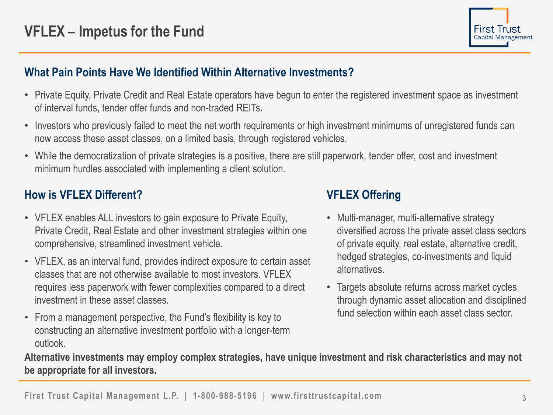

## **What Pain Points Have We Identified Within Alternative Investments?**

- Private Equity, Private Credit and Real Estate operators have begun to enter the registered investment space as investment of interval funds, tender offer funds and non-traded REITs.
- Investors who previously failed to meet the net worth requirements or high investment minimums of unregistered funds can now access these asset classes, on a limited basis, through registered vehicles.
- While the democratization of private strategies is a positive, there are still paperwork, tender offer, cost and investment minimum hurdles associated with implementing a client solution.

## **How is VFLEX Different?**

- VFLEX enables ALL investors to gain exposure to Private Equity, Private Credit, Real Estate and other investment strategies within one comprehensive, streamlined investment vehicle.
- VFLEX, as an interval fund, provides indirect exposure to certain asset classes that are not otherwise available to most investors. VFLEX requires less paperwork with fewer complexities compared to a direct investment in these asset classes.
- From a management perspective, the Fund's flexibility is key to constructing an alternative investment portfolio with a longer-term outlook.

## **VFLEX Offering**

- Multi-manager, multi-alternative strategy diversified across the private asset class sectors of private equity, real estate, alternative credit, hedged strategies, co-investments and liquid alternatives.
- Targets absolute returns across market cycles through dynamic asset allocation and disciplined fund selection within each asset class sector.

**Alternative investments may employ complex strategies, have unique investment and risk characteristics and may not be appropriate for all investors.**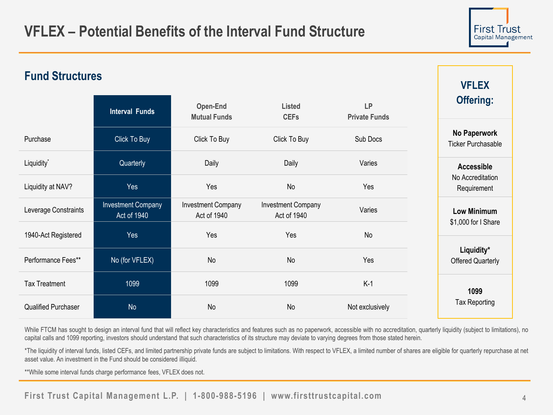

**VFLEX** 

## **Fund Structures**

|                      | <b>Interval Funds</b>                    | Open-End<br><b>Mutual Funds</b>          | <b>Listed</b><br><b>CEFs</b>             | LP<br><b>Private Funds</b> | <b>Offering:</b>                          |
|----------------------|------------------------------------------|------------------------------------------|------------------------------------------|----------------------------|-------------------------------------------|
| Purchase             | Click To Buy                             | Click To Buy                             | Click To Buy                             | Sub Docs                   | No Paperwork<br><b>Ticker Purchasable</b> |
| Liquidity*           | Quarterly                                | Daily                                    | Daily                                    | Varies                     | <b>Accessible</b>                         |
| Liquidity at NAV?    | Yes                                      | Yes                                      | No                                       | Yes                        | No Accreditation<br>Requirement           |
| Leverage Constraints | <b>Investment Company</b><br>Act of 1940 | <b>Investment Company</b><br>Act of 1940 | <b>Investment Company</b><br>Act of 1940 | Varies                     | <b>Low Minimum</b>                        |
| 1940-Act Registered  | Yes                                      | Yes                                      | Yes                                      | No                         | \$1,000 for I Share                       |
| Performance Fees**   | No (for VFLEX)                           | No                                       | No                                       | Yes                        | Liquidity*<br><b>Offered Quarterly</b>    |
| <b>Tax Treatment</b> | 1099                                     | 1099                                     | 1099                                     | $K-1$                      | 1099                                      |
| Qualified Purchaser  | <b>No</b>                                | No                                       | No                                       | Not exclusively            | Tax Reporting                             |

While FTCM has sought to design an interval fund that will reflect key characteristics and features such as no paperwork, accessible with no accreditation, quarterly liquidity (subject to limitations), no capital calls and 1099 reporting, investors should understand that such characteristics of its structure may deviate to varying degrees from those stated herein.

\*The liquidity of interval funds, listed CEFs, and limited partnership private funds are subject to limitations. With respect to VFLEX, a limited number of shares are eligible for quarterly repurchase at net asset value. An investment in the Fund should be considered illiquid.

\*\*While some interval funds charge performance fees, VFLEX does not.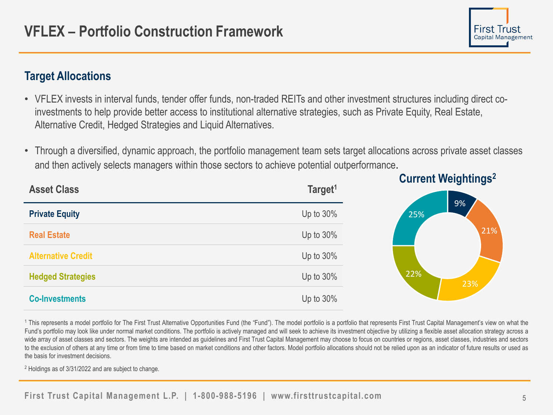## **Target Allocations**

- VFLEX invests in interval funds, tender offer funds, non-traded REITs and other investment structures including direct coinvestments to help provide better access to institutional alternative strategies, such as Private Equity, Real Estate, Alternative Credit, Hedged Strategies and Liquid Alternatives.
- Through a diversified, dynamic approach, the portfolio management team sets target allocations across private asset classes and then actively selects managers within those sectors to achieve potential outperformance.



<sup>1</sup> This represents a model portfolio for The First Trust Alternative Opportunities Fund (the "Fund"). The model portfolio is a portfolio that represents First Trust Capital Management's view on what the Fund's portfolio may look like under normal market conditions. The portfolio is actively managed and will seek to achieve its investment objective by utilizing a flexible asset allocation strategy across a wide array of asset classes and sectors. The weights are intended as guidelines and First Trust Capital Management may choose to focus on countries or regions, asset classes, industries and sectors to the exclusion of others at any time or from time to time based on market conditions and other factors. Model portfolio allocations should not be relied upon as an indicator of future results or used as the basis for investment decisions.

<sup>2</sup> Holdings as of 3/31/2022 and are subject to change.

First Trust Capital Management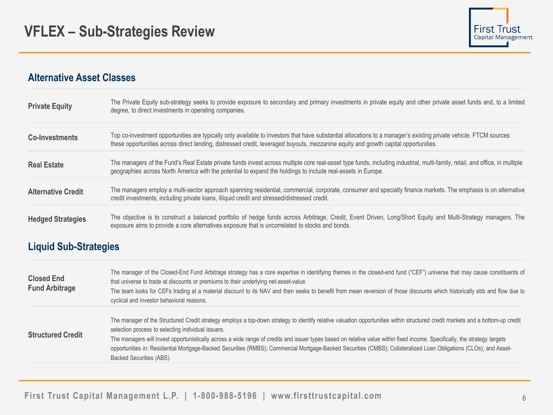#### **Alternative Asset Classes**

| <b>Private Equity</b>     | The Private Equity sub-strategy seeks to provide exposure to secondary and primary investments in private equity and other private asset funds and, to a limited<br>degree, to direct investments in operating companies.                                                                                |
|---------------------------|----------------------------------------------------------------------------------------------------------------------------------------------------------------------------------------------------------------------------------------------------------------------------------------------------------|
| <b>Co-Investments</b>     | Top co-investment opportunities are typically only available to investors that have substantial allocations to a manager's existing private vehicle. FTCM sources<br>these opportunities across direct lending, distressed credit, leveraged buyouts, mezzanine equity and growth capital opportunities. |
| <b>Real Estate</b>        | The managers of the Fund's Real Estate private funds invest across multiple core real-asset type funds, including industrial, multi-family, retail, and office, in multiple<br>geographies across North America with the potential to expand the holdings to include real-assets in Europe.              |
| <b>Alternative Credit</b> | The managers employ a multi-sector approach spanning residential, commercial, corporate, consumer and specialty finance markets. The emphasis is on alternative<br>credit investments, including private loans, illiquid credit and stressed/distressed credit.                                          |
| <b>Hedged Strategies</b>  | The objective is to construct a balanced portfolio of hedge funds across Arbitrage, Credit, Event Driven, Long/Short Equity and Multi-Strategy managers. The<br>exposure aims to provide a core alternatives exposure that is uncorrelated to stocks and bonds.                                          |

#### **Liquid Sub-Strategies**

| <b>Closed End</b><br><b>Fund Arbitrage</b> | The manager of the Closed-End Fund Arbitrage strategy has a core expertise in identifying themes in the closed-end fund ("CEF") universe that may cause constituents of<br>that universe to trade at discounts or premiums to their underlying net-asset-value.<br>The team looks for CEFs trading at a material discount to its NAV and then seeks to benefit from mean reversion of those discounts which historically ebb and flow due to<br>cyclical and investor behavioral reasons.                                                                                                                           |
|--------------------------------------------|---------------------------------------------------------------------------------------------------------------------------------------------------------------------------------------------------------------------------------------------------------------------------------------------------------------------------------------------------------------------------------------------------------------------------------------------------------------------------------------------------------------------------------------------------------------------------------------------------------------------|
| <b>Structured Credit</b>                   | The manager of the Structured Credit strategy employs a top-down strategy to identify relative valuation opportunities within structured credit markets and a bottom-up credit<br>selection process to selecting individual issuers.<br>The managers will invest opportunistically across a wide range of credits and issuer types based on relative value within fixed income. Specifically, the strategy targets<br>opportunities in: Residential Mortgage-Backed Securities (RMBS); Commercial Mortgage-Backed Securities (CMBS); Collateralized Loan Obligations (CLOs); and Asset-<br>Backed Securities (ABS). |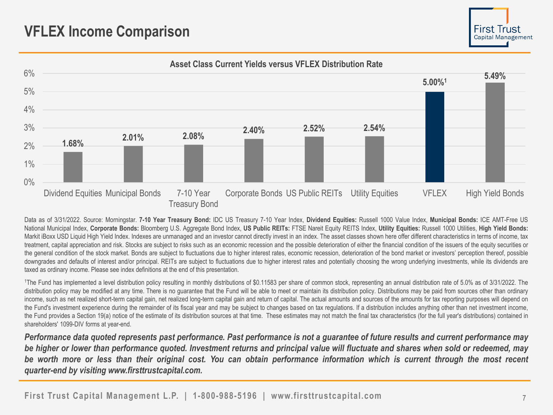## **VFLEX Income Comparison**





Data as of 3/31/2022. Source: Morningstar. 7-10 Year Treasury Bond: IDC US Treasury 7-10 Year Index, Dividend Equities: Russell 1000 Value Index, Municipal Bonds: ICE AMT-Free US National Municipal Index, Corporate Bonds: Bloomberg U.S. Aggregate Bond Index, US Public REITs: FTSE Nareit Equity REITS Index, Utility Equities: Russell 1000 Utilities, High Yield Bonds: Markit iBoxx USD Liquid High Yield Index. Indexes are unmanaged and an investor cannot directly invest in an index. The asset classes shown here offer different characteristics in terms of income, tax treatment, capital appreciation and risk. Stocks are subject to risks such as an economic recession and the possible deterioration of either the financial condition of the issuers of the equity securities or the general condition of the stock market. Bonds are subject to fluctuations due to higher interest rates, economic recession, deterioration of the bond market or investors' perception thereof, possible downgrades and defaults of interest and/or principal. REITs are subject to fluctuations due to higher interest rates and potentially choosing the wrong underlying investments, while its dividends are taxed as ordinary income. Please see index definitions at the end of this presentation.

<sup>1</sup>The Fund has implemented a level distribution policy resulting in monthly distributions of \$0.11583 per share of common stock, representing an annual distribution rate of 5.0% as of 3/31/2022. The distribution policy may be modified at any time. There is no guarantee that the Fund will be able to meet or maintain its distribution policy. Distributions may be paid from sources other than ordinary income, such as net realized short-term capital gain, net realized long-term capital gain and return of capital. The actual amounts and sources of the amounts for tax reporting purposes will depend on the Fund's investment experience during the remainder of its fiscal year and may be subject to changes based on tax regulations. If a distribution includes anything other than net investment income, the Fund provides a Section 19(a) notice of the estimate of its distribution sources at that time. These estimates may not match the final tax characteristics (for the full year's distributions) contained in shareholders' 1099-DIV forms at year-end.

Performance data quoted represents past performance. Past performance is not a guarantee of future results and current performance may be higher or lower than performance quoted. Investment returns and principal value will fluctuate and shares when sold or redeemed, may be worth more or less than their original cost. You can obtain performance information which is current through the most recent *quarter-end by visiting www.firsttrustcapital.com.*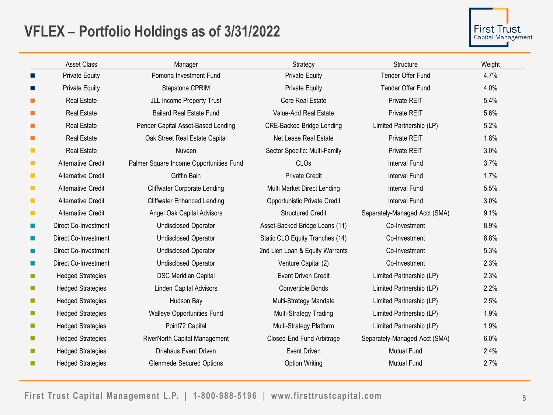## **VFLEX – Portfolio Holdings as of 3/31/2022**

|                | <b>Asset Class</b>        | Manager                                 | Strategy                         | Structure                     | Weight |
|----------------|---------------------------|-----------------------------------------|----------------------------------|-------------------------------|--------|
| <b>COL</b>     | <b>Private Equity</b>     | Pomona Investment Fund                  | <b>Private Equity</b>            | Tender Offer Fund             | 4.7%   |
| ш              | <b>Private Equity</b>     | Stepstone CPRIM                         | <b>Private Equity</b>            | Tender Offer Fund             | 4.0%   |
| ш              | <b>Real Estate</b>        | JLL Income Property Trust               | <b>Core Real Estate</b>          | Private REIT                  | 5.4%   |
| <b>COL</b>     | <b>Real Estate</b>        | <b>Bailard Real Estate Fund</b>         | Value-Add Real Estate            | <b>Private REIT</b>           | 5.6%   |
| <b>COL</b>     | <b>Real Estate</b>        | Pender Capital Asset-Based Lending      | <b>CRE-Backed Bridge Lending</b> | Limited Partnership (LP)      | 5.2%   |
| ш              | <b>Real Estate</b>        | Oak Street Real Estate Capital          | Net Lease Real Estate            | Private REIT                  | 1.8%   |
| $\mathcal{L}$  | <b>Real Estate</b>        | Nuveen                                  | Sector Specific: Multi-Family    | Private REIT                  | 3.0%   |
| $\blacksquare$ | <b>Alternative Credit</b> | Palmer Square Income Opportunities Fund | CLOs                             | <b>Interval Fund</b>          | 3.7%   |
| $\mathbf{r}$   | <b>Alternative Credit</b> | Griffin Bain                            | <b>Private Credit</b>            | <b>Interval Fund</b>          | 1.7%   |
| $\mathbf{r}$   | <b>Alternative Credit</b> | <b>Cliffwater Corporate Lending</b>     | Multi Market Direct Lending      | Interval Fund                 | 5.5%   |
| $\mathbf{r}$   | <b>Alternative Credit</b> | <b>Cliffwater Enhanced Lending</b>      | Opportunistic Private Credit     | <b>Interval Fund</b>          | 3.0%   |
| $\mathbf{r}$   | <b>Alternative Credit</b> | Angel Oak Capital Advisors              | <b>Structured Credit</b>         | Separately-Managed Acct (SMA) | 9.1%   |
| ш              | Direct Co-Investment      | <b>Undisclosed Operator</b>             | Asset-Backed Bridge Loans (11)   | Co-Investment                 | 8.9%   |
| ш              | Direct Co-Investment      | <b>Undisclosed Operator</b>             | Static CLO Equity Tranches (14)  | Co-Investment                 | 8.8%   |
| ш              | Direct Co-Investment      | <b>Undisclosed Operator</b>             | 2nd Lien Loan & Equity Warrants  | Co-Investment                 | 5.3%   |
| <b>COL</b>     | Direct Co-Investment      | <b>Undisclosed Operator</b>             | Venture Capital (2)              | Co-Investment                 | 2.3%   |
| <b>College</b> | <b>Hedged Strategies</b>  | <b>DSC Meridian Capital</b>             | <b>Event Driven Credit</b>       | Limited Partnership (LP)      | 2.3%   |
| <b>Tale</b>    | <b>Hedged Strategies</b>  | <b>Linden Capital Advisors</b>          | Convertible Bonds                | Limited Partnership (LP)      | 2.2%   |
| <b>College</b> | <b>Hedged Strategies</b>  | Hudson Bay                              | Multi-Strategy Mandate           | Limited Partnership (LP)      | 2.5%   |
| <b>College</b> | <b>Hedged Strategies</b>  | Walleye Opportunities Fund              | Multi-Strategy Trading           | Limited Partnership (LP)      | 1.9%   |
| <b>College</b> | <b>Hedged Strategies</b>  | Point72 Capital                         | Multi-Strategy Platform          | Limited Partnership (LP)      | 1.9%   |
| <b>College</b> | <b>Hedged Strategies</b>  | RiverNorth Capital Management           | Closed-End Fund Arbitrage        | Separately-Managed Acct (SMA) | 6.0%   |
| ш              | <b>Hedged Strategies</b>  | Driehaus Event Driven                   | <b>Event Driven</b>              | <b>Mutual Fund</b>            | 2.4%   |
| ш              | <b>Hedged Strategies</b>  | <b>Glenmede Secured Options</b>         | <b>Option Writing</b>            | <b>Mutual Fund</b>            | 2.7%   |
|                |                           |                                         |                                  |                               |        |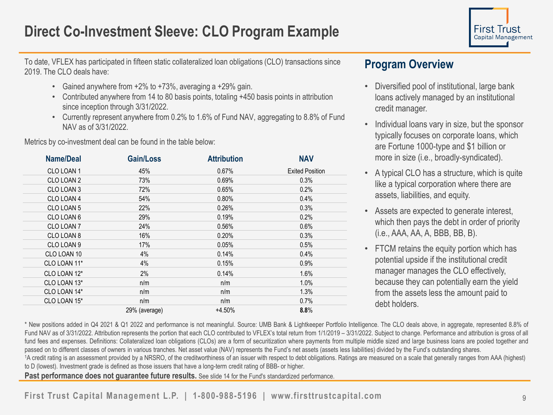## **Direct Co-Investment Sleeve: CLO Program Example**



To date, VFLEX has participated in fifteen static collateralized loan obligations (CLO) transactions since 2019. The CLO deals have:

- Gained anywhere from +2% to +73%, averaging a +29% gain.
- Contributed anywhere from 14 to 80 basis points, totaling +450 basis points in attribution since inception through 3/31/2022.
- Currently represent anywhere from 0.2% to 1.6% of Fund NAV, aggregating to 8.8% of Fund NAV as of 3/31/2022.

Metrics by co-investment deal can be found in the table below:

| <b>Name/Deal</b> | Gain/Loss     | <b>Attribution</b> | <b>NAV</b>             |
|------------------|---------------|--------------------|------------------------|
| CLO LOAN 1       | 45%           | 0.67%              | <b>Exited Position</b> |
| CLO LOAN 2       | 73%           | 0.69%              | 0.3%                   |
| CLO LOAN 3       | 72%           | 0.65%              | 0.2%                   |
| CLO LOAN 4       | 54%           | 0.80%              | 0.4%                   |
| CLO LOAN 5       | 22%           | 0.26%              | 0.3%                   |
| CLO LOAN 6       | 29%           | 0.19%              | 0.2%                   |
| CLO LOAN 7       | 24%           | 0.56%              | 0.6%                   |
| CLO LOAN 8       | 16%           | 0.20%              | 0.3%                   |
| CLO LOAN 9       | 17%           | 0.05%              | 0.5%                   |
| CLO LOAN 10      | 4%            | 0.14%              | 0.4%                   |
| CLO LOAN 11*     | 4%            | 0.15%              | 0.9%                   |
| CLO LOAN 12*     | 2%            | 0.14%              | 1.6%                   |
| CLO LOAN 13*     | n/m           | n/m                | 1.0%                   |
| CLO LOAN 14*     | n/m           | n/m                | 1.3%                   |
| CLO LOAN 15*     | n/m           | n/m                | 0.7%                   |
|                  | 29% (average) | $+4.50%$           | 8.8%                   |

#### **Program Overview**

- Diversified pool of institutional, large bank loans actively managed by an institutional credit manager.
- Individual loans vary in size, but the sponsor typically focuses on corporate loans, which are Fortune 1000-type and \$1 billion or more in size (i.e., broadly-syndicated).
- A typical CLO has a structure, which is quite like a typical corporation where there are assets, liabilities, and equity.
- Assets are expected to generate interest, which then pays the debt in order of priority (i.e., AAA, AA, A, BBB, BB, B).
- FTCM retains the equity portion which has potential upside if the institutional credit manager manages the CLO effectively, because they can potentially earn the yield from the assets less the amount paid to debt holders.

\* New positions added in Q4 2021 & Q1 2022 and performance is not meaningful. Source: UMB Bank & Lightkeeper Portfolio Intelligence. The CLO deals above, in aggregate, represented 8.8% of Fund NAV as of 3/31/2022. Attribution represents the portion that each CLO contributed to VFLEX's total return from 1/1/2019 - 3/31/2022. Subject to change. Performance and attribution is gross of all fund fees and expenses. Definitions: Collateralized loan obligations (CLOs) are a form of securitization where payments from multiple middle sized and large business loans are pooled together and passed on to different classes of owners in various tranches. Net asset value (NAV) represents the Fund's net assets (assets less liabilities) divided by the Fund's outstanding shares.

1A credit rating is an assessment provided by a NRSRO, of the creditworthiness of an issuer with respect to debt obligations. Ratings are measured on a scale that generally ranges from AAA (highest) to D (lowest). Investment grade is defined as those issuers that have a long-term credit rating of BBB- or higher.

Past performance does not guarantee future results. See slide 14 for the Fund's standardized performance.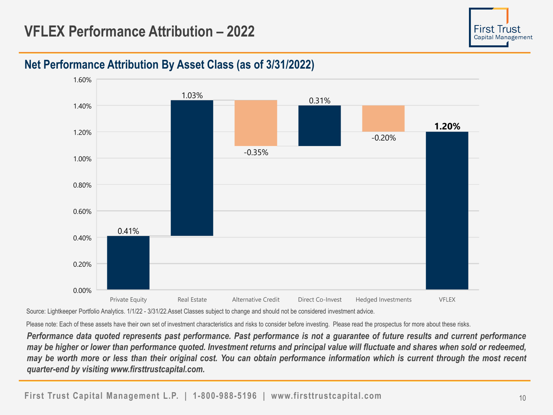## **VFLEX Performance Attribution – 2022**



## **Net Performance Attribution By Asset Class (as of 3/31/2022)**



Source: Lightkeeper Portfolio Analytics. 1/1/22 - 3/31/22.Asset Classes subject to change and should not be considered investment advice.

Please note: Each of these assets have their own set of investment characteristics and risks to consider before investing. Please read the prospectus for more about these risks.

Performance data quoted represents past performance. Past performance is not a guarantee of future results and current performance may be higher or lower than performance quoted. Investment returns and principal value will fluctuate and shares when sold or redeemed, may be worth more or less than their original cost. You can obtain performance information which is current through the most recent *quarter-end by visiting www.firsttrustcapital.com.*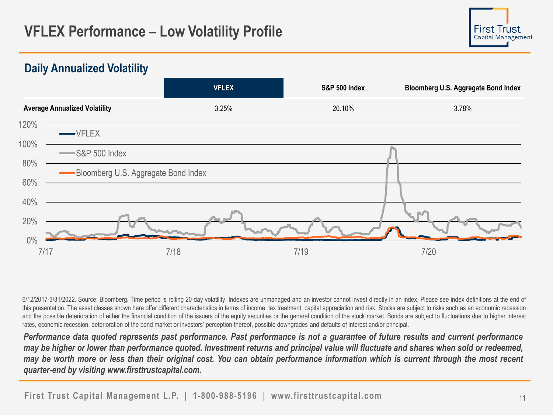## **VFLEX S&P 500 Index Bloomberg U.S. Aggregate Bond Index Average Annualized Volatility** 3.25% 20.10% 3.78% 0% 20% 40% 60% 80% 100% 120% 7/17 7/18 7/19 7/20  $VFI$  FX  $-$ S&P 500 Index Bloomberg U.S. Aggregate Bond Index

**Daily Annualized Volatility**

6/12/2017-3/31/2022. Source: Bloomberg. Time period is rolling 20-day volatility. Indexes are unmanaged and an investor cannot invest directly in an index. Please see index definitions at the end of this presentation. The asset classes shown here offer different characteristics in terms of income, tax treatment, capital appreciation and risk. Stocks are subject to risks such as an economic recession and the possible deterioration of either the financial condition of the issuers of the equity securities or the general condition of the stock market. Bonds are subject to fluctuations due to higher interest rates, economic recession, deterioration of the bond market or investors' perception thereof, possible downgrades and defaults of interest and/or principal.

Performance data quoted represents past performance. Past performance is not a guarantee of future results and current performance may be higher or lower than performance quoted. Investment returns and principal value will fluctuate and shares when sold or redeemed, may be worth more or less than their original cost. You can obtain performance information which is current through the most recent *quarter-end by visiting www.firsttrustcapital.com.*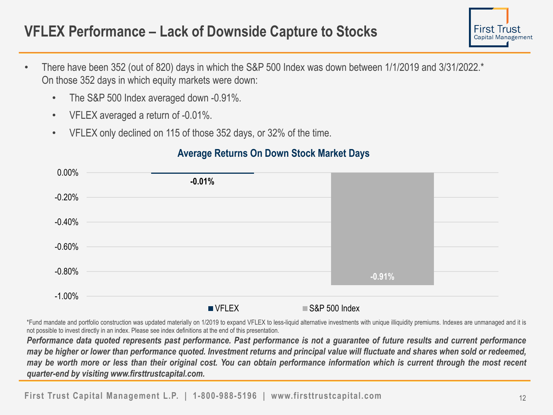## **VFLEX Performance – Lack of Downside Capture to Stocks**

- First Irust Capital Management
- There have been 352 (out of 820) days in which the S&P 500 Index was down between 1/1/2019 and 3/31/2022.\* On those 352 days in which equity markets were down:
	- The S&P 500 Index averaged down -0.91%.
	- VFLEX averaged a return of -0.01%.
	- VFLEX only declined on 115 of those 352 days, or 32% of the time.

#### **Average Returns On Down Stock Market Days**

| $0.00\%$  |                      |                 |
|-----------|----------------------|-----------------|
|           | $-0.01%$             |                 |
| $-0.20%$  |                      |                 |
|           |                      |                 |
| $-0.40%$  |                      |                 |
| $-0.60%$  |                      |                 |
|           |                      |                 |
| $-0.80%$  |                      |                 |
|           |                      | $-0.91%$        |
| $-1.00\%$ |                      |                 |
|           | $\blacksquare$ VFLEX | ■ S&P 500 Index |

\*Fund mandate and portfolio construction was updated materially on 1/2019 to expand VFLEX to less-liquid alternative investments with unique illiquidity premiums. Indexes are unmanaged and it is not possible to invest directly in an index. Please see index definitions at the end of this presentation.

Performance data quoted represents past performance. Past performance is not a guarantee of future results and current performance may be higher or lower than performance quoted. Investment returns and principal value will fluctuate and shares when sold or redeemed. may be worth more or less than their original cost. You can obtain performance information which is current through the most recent *quarter-end by visiting www.firsttrustcapital.com.*

**First Trust Capital Management L.P. | 1-800-988-5196 | www.firsttrustcapital.com**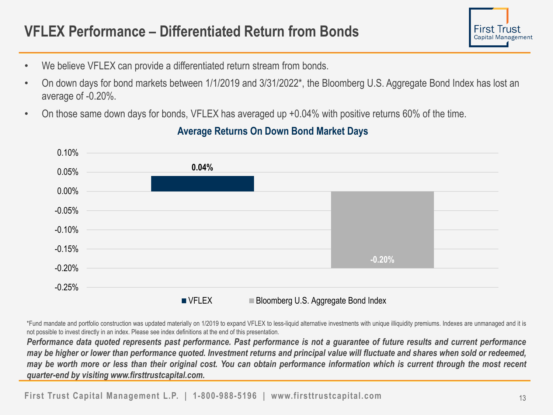## **VFLEX Performance – Differentiated Return from Bonds**



- We believe VFLEX can provide a differentiated return stream from bonds.
- On down days for bond markets between 1/1/2019 and 3/31/2022\*, the Bloomberg U.S. Aggregate Bond Index has lost an average of -0.20%.
- On those same down days for bonds, VFLEX has averaged up +0.04% with positive returns 60% of the time.



### **Average Returns On Down Bond Market Days**

\*Fund mandate and portfolio construction was updated materially on 1/2019 to expand VFLEX to less-liquid alternative investments with unique illiquidity premiums. Indexes are unmanaged and it is not possible to invest directly in an index. Please see index definitions at the end of this presentation.

Performance data quoted represents past performance. Past performance is not a quarantee of future results and current performance may be higher or lower than performance quoted. Investment returns and principal value will fluctuate and shares when sold or redeemed, may be worth more or less than their original cost. You can obtain performance information which is current through the most recent *quarter-end by visiting www.firsttrustcapital.com.*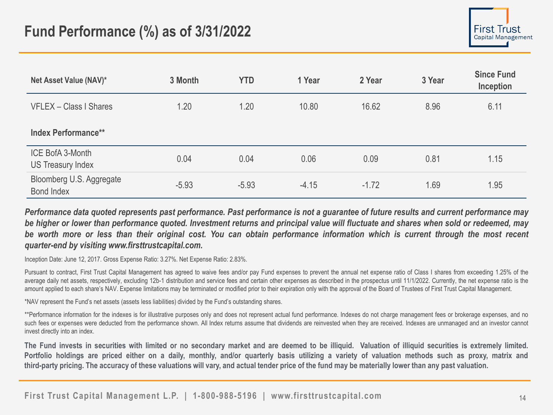| Net Asset Value (NAV)*                 | 3 Month | <b>YTD</b> | 1 Year  | 2 Year  | 3 Year | <b>Since Fund</b><br>Inception |
|----------------------------------------|---------|------------|---------|---------|--------|--------------------------------|
| VFLEX - Class I Shares                 | 1.20    | 1.20       | 10.80   | 16.62   | 8.96   | 6.11                           |
| <b>Index Performance**</b>             |         |            |         |         |        |                                |
| ICE BofA 3-Month<br>US Treasury Index  | 0.04    | 0.04       | 0.06    | 0.09    | 0.81   | 1.15                           |
| Bloomberg U.S. Aggregate<br>Bond Index | $-5.93$ | $-5.93$    | $-4.15$ | $-1.72$ | 1.69   | 1.95                           |

Performance data quoted represents past performance. Past performance is not a quarantee of future results and current performance may be higher or lower than performance quoted. Investment returns and principal value will fluctuate and shares when sold or redeemed, may be worth more or less than their original cost. You can obtain performance information which is current through the most recent *quarter-end by visiting www.firsttrustcapital.com.*

Inception Date: June 12, 2017. Gross Expense Ratio: 3.27%. Net Expense Ratio: 2.83%.

Pursuant to contract, First Trust Capital Management has agreed to waive fees and/or pay Fund expenses to prevent the annual net expense ratio of Class I shares from exceeding 1.25% of the average daily net assets, respectively, excluding 12b-1 distribution and service fees and certain other expenses as described in the prospectus until 11/1/2022. Currently, the net expense ratio is the amount applied to each share's NAV. Expense limitations may be terminated or modified prior to their expiration only with the approval of the Board of Trustees of First Trust Capital Management.

\*NAV represent the Fund's net assets (assets less liabilities) divided by the Fund's outstanding shares.

\*\*Performance information for the indexes is for illustrative purposes only and does not represent actual fund performance. Indexes do not charge management fees or brokerage expenses, and no such fees or expenses were deducted from the performance shown. All Index returns assume that dividends are reinvested when they are received. Indexes are unmanaged and an investor cannot invest directly into an index.

The Fund invests in securities with limited or no secondary market and are deemed to be illiquid. Valuation of illiquid securities is extremely limited. Portfolio holdings are priced either on a daily, monthly, and/or quarterly basis utilizing a variety of valuation methods such as proxy, matrix and third-party pricing. The accuracy of these valuations will vary, and actual tender price of the fund may be materially lower than any past valuation.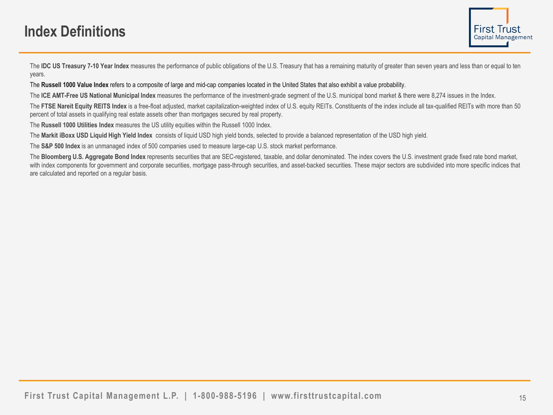## **Index Definitions**

The IDC US Treasury 7-10 Year Index measures the performance of public obligations of the U.S. Treasury that has a remaining maturity of greater than seven years and less than or equal to ten years.

The **Russell 1000 Value Index** refers to a composite of large and mid-cap companies located in the United States that also exhibit a value probability.

The **ICE AMT-Free US National Municipal Index** measures the performance of the investment-grade segment of the U.S. municipal bond market & there were 8,274 issues in the Index.

The FTSE Nareit Equity REITS Index is a free-float adjusted, market capitalization-weighted index of U.S. equity REITs. Constituents of the index include all tax-qualified REITs with more than 50 percent of total assets in qualifying real estate assets other than mortgages secured by real property.

The **Russell 1000 Utilities Index** measures the US utility equities within the Russell 1000 Index.

The **Markit iBoxx USD Liquid High Yield Index** consists of liquid USD high yield bonds, selected to provide a balanced representation of the USD high yield.

The **S&P 500 Index** is an unmanaged index of 500 companies used to measure large-cap U.S. stock market performance.

The Bloomberg U.S. Aggregate Bond Index represents securities that are SEC-registered, taxable, and dollar denominated. The index covers the U.S. investment grade fixed rate bond market, with index components for government and corporate securities, mortgage pass-through securities, and asset-backed securities. These major sectors are subdivided into more specific indices that are calculated and reported on a regular basis.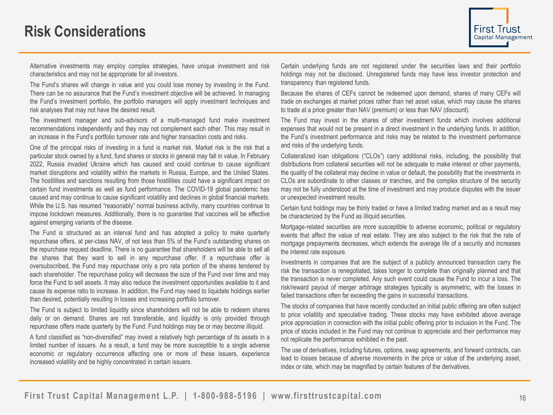## **Risk Considerations**

Alternative investments may employ complex strategies, have unique investment and risk characteristics and may not be appropriate for all investors.

The Fund's shares will change in value and you could lose money by investing in the Fund. There can be no assurance that the Fund's investment objective will be achieved. In managing the Fund's investment portfolio, the portfolio managers will apply investment techniques and risk analyses that may not have the desired result.

The investment manager and sub-advisors of a multi-managed fund make investment recommendations independently and they may not complement each other. This may result in an increase in the Fund's portfolio turnover rate and higher transaction costs and risks.

One of the principal risks of investing in a fund is market risk. Market risk is the risk that a particular stock owned by a fund, fund shares or stocks in general may fall in value. In February 2022, Russia invaded Ukraine which has caused and could continue to cause significant market disruptions and volatility within the markets in Russia, Europe, and the United States. The hostilities and sanctions resulting from those hostilities could have a significant impact on certain fund investments as well as fund performance. The COVID-19 global pandemic has caused and may continue to cause significant volatility and declines in global financial markets. While the U.S. has resumed "reasonably" normal business activity, many countries continue to impose lockdown measures. Additionally, there is no guarantee that vaccines will be effective against emerging variants of the disease.

The Fund is structured as an interval fund and has adopted a policy to make quarterly repurchase offers, at per-class NAV, of not less than 5% of the Fund's outstanding shares on the repurchase request deadline. There is no guarantee that shareholders will be able to sell all the shares that they want to sell in any repurchase offer. If a repurchase offer is oversubscribed, the Fund may repurchase only a pro rata portion of the shares tendered by each shareholder. The repurchase policy will decrease the size of the Fund over time and may force the Fund to sell assets. It may also reduce the investment opportunities available to it and cause its expense ratio to increase. In addition, the Fund may need to liquidate holdings earlier than desired, potentially resulting in losses and increasing portfolio turnover.

The Fund is subject to limited liquidity since shareholders will not be able to redeem shares daily or on demand. Shares are not transferable, and liquidity is only provided through repurchase offers made quarterly by the Fund. Fund holdings may be or may become illiquid.

A fund classified as "non-diversified" may invest a relatively high percentage of its assets in a limited number of issuers. As a result, a fund may be more susceptible to a single adverse economic or regulatory occurrence affecting one or more of these issuers, experience increased volatility and be highly concentrated in certain issuers.

Certain underlying funds are not registered under the securities laws and their portfolio holdings may not be disclosed. Unregistered funds may have less investor protection and transparency than registered funds.

Because the shares of CEFs cannot be redeemed upon demand, shares of many CEFs will trade on exchanges at market prices rather than net asset value, which may cause the shares to trade at a price greater than NAV (premium) or less than NAV (discount).

The Fund may invest in the shares of other investment funds which involves additional expenses that would not be present in a direct investment in the underlying funds. In addition, the Fund's investment performance and risks may be related to the investment performance and risks of the underlying funds.

Collateralized loan obligations ("CLOs") carry additional risks, including, the possibility that distributions from collateral securities will not be adequate to make interest or other payments, the quality of the collateral may decline in value or default, the possibility that the investments in CLOs are subordinate to other classes or tranches, and the complex structure of the security may not be fully understood at the time of investment and may produce disputes with the issuer or unexpected investment results.

Certain fund holdings may be thinly traded or have a limited trading market and as a result may be characterized by the Fund as illiquid securities.

Mortgage-related securities are more susceptible to adverse economic, political or regulatory events that affect the value of real estate. They are also subject to the risk that the rate of mortgage prepayments decreases, which extends the average life of a security and increases the interest rate exposure.

Investments in companies that are the subject of a publicly announced transaction carry the risk the transaction is renegotiated, takes longer to complete than originally planned and that the transaction is never completed. Any such event could cause the Fund to incur a loss. The risk/reward payout of merger arbitrage strategies typically is asymmetric, with the losses in failed transactions often far exceeding the gains in successful transactions.

The stocks of companies that have recently conducted an initial public offering are often subject to price volatility and speculative trading. These stocks may have exhibited above average price appreciation in connection with the initial public offering prior to inclusion in the Fund. The price of stocks included in the Fund may not continue to appreciate and their performance may not replicate the performance exhibited in the past.

The use of derivatives, including futures, options, swap agreements, and forward contracts, can lead to losses because of adverse movements in the price or value of the underlying asset, index or rate, which may be magnified by certain features of the derivatives.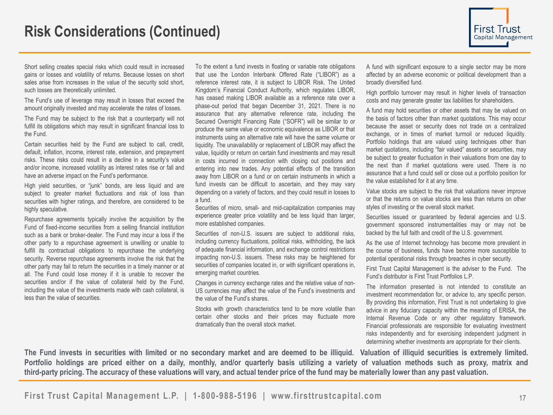Short selling creates special risks which could result in increased gains or losses and volatility of returns. Because losses on short sales arise from increases in the value of the security sold short, such losses are theoretically unlimited.

The Fund's use of leverage may result in losses that exceed the amount originally invested and may accelerate the rates of losses.

The Fund may be subject to the risk that a counterparty will not fulfill its obligations which may result in significant financial loss to the Fund.

Certain securities held by the Fund are subject to call, credit, default, inflation, income, interest rate, extension, and prepayment risks. These risks could result in a decline in a security's value and/or income, increased volatility as interest rates rise or fall and have an adverse impact on the Fund's performance.

High yield securities, or "junk" bonds, are less liquid and are subject to greater market fluctuations and risk of loss than securities with higher ratings, and therefore, are considered to be highly speculative.

Repurchase agreements typically involve the acquisition by the Fund of fixed-income securities from a selling financial institution such as a bank or broker-dealer. The Fund may incur a loss if the other party to a repurchase agreement is unwilling or unable to fulfill its contractual obligations to repurchase the underlying security. Reverse repurchase agreements involve the risk that the other party may fail to return the securities in a timely manner or at all. The Fund could lose money if it is unable to recover the securities and/or if the value of collateral held by the Fund, including the value of the investments made with cash collateral, is less than the value of securities.

To the extent a fund invests in floating or variable rate obligations that use the London Interbank Offered Rate ("LIBOR") as a reference interest rate, it is subject to LIBOR Risk. The United Kingdom's Financial Conduct Authority, which regulates LIBOR, has ceased making LIBOR available as a reference rate over a phase-out period that began December 31, 2021. There is no assurance that any alternative reference rate, including the Secured Overnight Financing Rate ("SOFR") will be similar to or produce the same value or economic equivalence as LIBOR or that instruments using an alternative rate will have the same volume or liquidity. The unavailability or replacement of LIBOR may affect the value, liquidity or return on certain fund investments and may result in costs incurred in connection with closing out positions and entering into new trades. Any potential effects of the transition away from LIBOR on a fund or on certain instruments in which a fund invests can be difficult to ascertain, and they may vary depending on a variety of factors, and they could result in losses to a fund.

Securities of micro, small- and mid-capitalization companies may experience greater price volatility and be less liquid than larger, more established companies.

Securities of non-U.S. issuers are subject to additional risks, including currency fluctuations, political risks, withholding, the lack of adequate financial information, and exchange control restrictions impacting non-U.S. issuers. These risks may be heightened for securities of companies located in, or with significant operations in, emerging market countries.

Changes in currency exchange rates and the relative value of non-US currencies may affect the value of the Fund's investments and the value of the Fund's shares.

Stocks with growth characteristics tend to be more volatile than certain other stocks and their prices may fluctuate more dramatically than the overall stock market.

A fund with significant exposure to a single sector may be more affected by an adverse economic or political development than a broadly diversified fund.

High portfolio turnover may result in higher levels of transaction costs and may generate greater tax liabilities for shareholders.

A fund may hold securities or other assets that may be valued on the basis of factors other than market quotations. This may occur because the asset or security does not trade on a centralized exchange, or in times of market turmoil or reduced liquidity. Portfolio holdings that are valued using techniques other than market quotations, including "fair valued" assets or securities, may be subject to greater fluctuation in their valuations from one day to the next than if market quotations were used. There is no assurance that a fund could sell or close out a portfolio position for the value established for it at any time.

Value stocks are subject to the risk that valuations never improve or that the returns on value stocks are less than returns on other styles of investing or the overall stock market.

Securities issued or guaranteed by federal agencies and U.S. government sponsored instrumentalities may or may not be backed by the full faith and credit of the U.S. government.

As the use of Internet technology has become more prevalent in the course of business, funds have become more susceptible to potential operational risks through breaches in cyber security.

First Trust Capital Management is the adviser to the Fund. The Fund's distributor is First Trust Portfolios L.P.

The information presented is not intended to constitute an investment recommendation for, or advice to, any specific person. By providing this information, First Trust is not undertaking to give advice in any fiduciary capacity within the meaning of ERISA, the Internal Revenue Code or any other regulatory framework. Financial professionals are responsible for evaluating investment risks independently and for exercising independent judgment in determining whether investments are appropriate for their clients.

The Fund invests in securities with limited or no secondary market and are deemed to be illiquid. Valuation of illiquid securities is extremely limited. Portfolio holdings are priced either on a daily, monthly, and/or quarterly basis utilizing a variety of valuation methods such as proxy, matrix and third-party pricing. The accuracy of these valuations will vary, and actual tender price of the fund may be materially lower than any past valuation.